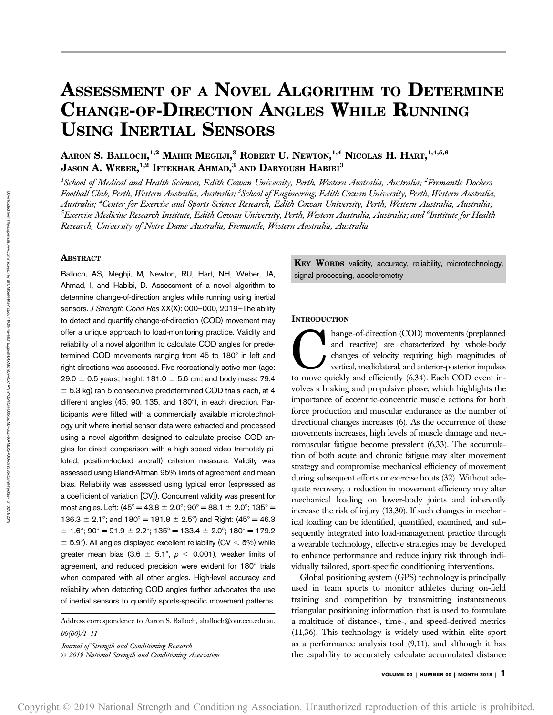# ASSESSMENT OF A NOVEL ALGORITHM TO DETERMINE CHANGE-OF-DIRECTION ANGLES WHILE RUNNING USING INERTIAL SENSORS

Aaron S. Balloch, $^{1,2}$  Mahir Meghji, $^3$  Robert U. Newton, $^{1,4}$  Nicolas H. Hart, $^{1,4,5,6}$ Jason A. Weber, $^{1,2}$  Iftekhar Ahmad, $^3$  and Daryoush Habibi $^3$ 

<sup>1</sup>School of Medical and Health Sciences, Edith Cowan University, Perth, Western Australia, Australia; <sup>2</sup>Fremantle Dockers Football Club, Perth, Western Australia, Australia; <sup>3</sup> School of Engineering, Edith Cowan University, Perth, Western Australia, Australia; <sup>4</sup>Center for Exercise and Sports Science Research, Edith Cowan University, Perth, Western Australia, Australia;  $^5$ Exercise Medicine Research Institute, Edith Cowan University, Perth, Western Australia, Australia; and  $^6$ Institute for Health Research, University of Notre Dame Australia, Fremantle, Western Australia, Australia

# ABSTRACT

Balloch, AS, Meghji, M, Newton, RU, Hart, NH, Weber, JA, Ahmad, I, and Habibi, D. Assessment of a novel algorithm to determine change-of-direction angles while running using inertial sensors. J Strength Cond Res XX(X): 000-000, 2019-The ability to detect and quantify change-of-direction (COD) movement may offer a unique approach to load-monitoring practice. Validity and reliability of a novel algorithm to calculate COD angles for predetermined COD movements ranging from  $45$  to  $180^\circ$  in left and right directions was assessed. Five recreationally active men (age: 29.0  $\pm$  0.5 years; height: 181.0  $\pm$  5.6 cm; and body mass: 79.4  $\pm$  5.3 kg) ran 5 consecutive predetermined COD trials each, at 4 different angles (45, 90, 135, and 180°), in each direction. Participants were fitted with a commercially available microtechnology unit where inertial sensor data were extracted and processed using a novel algorithm designed to calculate precise COD angles for direct comparison with a high-speed video (remotely piloted, position-locked aircraft) criterion measure. Validity was assessed using Bland-Altman 95% limits of agreement and mean bias. Reliability was assessed using typical error (expressed as a coefficient of variation [CV]). Concurrent validity was present for most angles. Left:  $(45^{\circ} = 43.8 \pm 2.0^{\circ}; 90^{\circ} = 88.1 \pm 2.0^{\circ}; 135^{\circ} =$ 136.3  $\pm$  2.1°; and 180° = 181.8  $\pm$  2.5°) and Right: (45° = 46.3  $\pm$  1.6°; 90° = 91.9  $\pm$  2.2°; 135° = 133.4  $\pm$  2.0°; 180° = 179.2  $\pm$  5.9°). All angles displayed excellent reliability (CV < 5%) while greater mean bias (3.6  $\pm$  5.1°,  $p$  < 0.001), weaker limits of agreement, and reduced precision were evident for 180° trials when compared with all other angles. High-level accuracy and reliability when detecting COD angles further advocates the use of inertial sensors to quantify sports-specific movement patterns.

Address correspondence to Aaron S. Balloch, [aballoch@our.ecu.edu.au](mailto:aballoch@our.ecu.edu.au). 00(00)/1–11

Journal of Strength and Conditioning Research 2019 National Strength and Conditioning Association KEY WORDS validity, accuracy, reliability, microtechnology, signal processing, accelerometry

## **INTRODUCTION**

hange-of-direction (COD) movements (preplanned<br>and reactive) are characterized by whole-body<br>changes of velocity requiring high magnitudes of<br>vertical, mediolateral, and anterior-posterior impulses<br>to move quickly and effi and reactive) are characterized by whole-body changes of velocity requiring high magnitudes of vertical, mediolateral, and anterior-posterior impulses to move quickly and efficiently (6,34). Each COD event involves a braking and propulsive phase, which highlights the importance of eccentric-concentric muscle actions for both force production and muscular endurance as the number of directional changes increases (6). As the occurrence of these movements increases, high levels of muscle damage and neuromuscular fatigue become prevalent (6,33). The accumulation of both acute and chronic fatigue may alter movement strategy and compromise mechanical efficiency of movement during subsequent efforts or exercise bouts (32). Without adequate recovery, a reduction in movement efficiency may alter mechanical loading on lower-body joints and inherently increase the risk of injury (13,30). If such changes in mechanical loading can be identified, quantified, examined, and subsequently integrated into load-management practice through a wearable technology, effective strategies may be developed to enhance performance and reduce injury risk through individually tailored, sport-specific conditioning interventions.

Global positioning system (GPS) technology is principally used in team sports to monitor athletes during on-field training and competition by transmitting instantaneous triangular positioning information that is used to formulate a multitude of distance-, time-, and speed-derived metrics (11,36). This technology is widely used within elite sport as a performance analysis tool (9,11), and although it has the capability to accurately calculate accumulated distance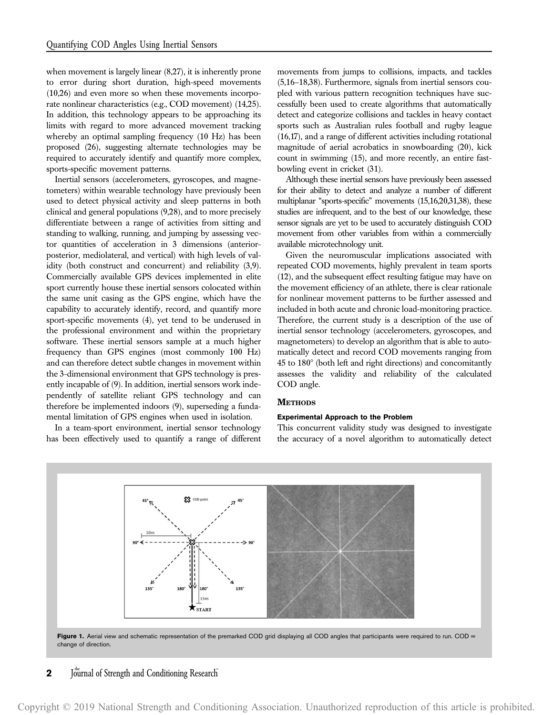when movement is largely linear  $(8,27)$ , it is inherently prone to error during short duration, high-speed movements (10,26) and even more so when these movements incorporate nonlinear characteristics (e.g., COD movement) (14,25). In addition, this technology appears to be approaching its limits with regard to more advanced movement tracking whereby an optimal sampling frequency (10 Hz) has been proposed (26), suggesting alternate technologies may be required to accurately identify and quantify more complex, sports-specific movement patterns.

Inertial sensors (accelerometers, gyroscopes, and magnetometers) within wearable technology have previously been used to detect physical activity and sleep patterns in both clinical and general populations (9,28), and to more precisely differentiate between a range of activities from sitting and standing to walking, running, and jumping by assessing vector quantities of acceleration in 3 dimensions (anteriorposterior, mediolateral, and vertical) with high levels of validity (both construct and concurrent) and reliability (3,9). Commercially available GPS devices implemented in elite sport currently house these inertial sensors colocated within the same unit casing as the GPS engine, which have the capability to accurately identify, record, and quantify more sport-specific movements (4), yet tend to be underused in the professional environment and within the proprietary software. These inertial sensors sample at a much higher frequency than GPS engines (most commonly 100 Hz) and can therefore detect subtle changes in movement within the 3-dimensional environment that GPS technology is presently incapable of (9). In addition, inertial sensors work independently of satellite reliant GPS technology and can therefore be implemented indoors (9), superseding a fundamental limitation of GPS engines when used in isolation.

In a team-sport environment, inertial sensor technology has been effectively used to quantify a range of different movements from jumps to collisions, impacts, and tackles (5,16–18,38). Furthermore, signals from inertial sensors coupled with various pattern recognition techniques have successfully been used to create algorithms that automatically detect and categorize collisions and tackles in heavy contact sports such as Australian rules football and rugby league (16,17), and a range of different activities including rotational magnitude of aerial acrobatics in snowboarding (20), kick count in swimming (15), and more recently, an entire fastbowling event in cricket (31).

Although these inertial sensors have previously been assessed for their ability to detect and analyze a number of different multiplanar "sports-specific" movements (15,16,20,31,38), these studies are infrequent, and to the best of our knowledge, these sensor signals are yet to be used to accurately distinguish COD movement from other variables from within a commercially available microtechnology unit.

Given the neuromuscular implications associated with repeated COD movements, highly prevalent in team sports (12), and the subsequent effect resulting fatigue may have on the movement efficiency of an athlete, there is clear rationale for nonlinear movement patterns to be further assessed and included in both acute and chronic load-monitoring practice. Therefore, the current study is a description of the use of inertial sensor technology (accelerometers, gyroscopes, and magnetometers) to develop an algorithm that is able to automatically detect and record COD movements ranging from  $45$  to  $180^\circ$  (both left and right directions) and concomitantly assesses the validity and reliability of the calculated COD angle.

#### **METHODS**

# Experimental Approach to the Problem

This concurrent validity study was designed to investigate the accuracy of a novel algorithm to automatically detect



# **2** Journal of Strength and Conditioning Research

Copyright © 2019 National Strength and Conditioning Association. Unauthorized reproduction of this article is prohibited.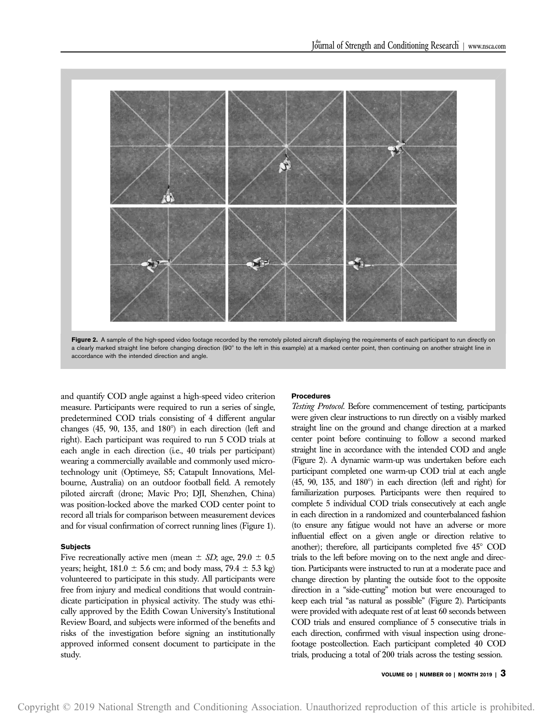

Figure 2. A sample of the high-speed video footage recorded by the remotely piloted aircraft displaying the requirements of each participant to run directly on a clearly marked straight line before changing direction (90° to the left in this example) at a marked center point, then continuing on another straight line in accordance with the intended direction and angle.

and quantify COD angle against a high-speed video criterion measure. Participants were required to run a series of single, predetermined COD trials consisting of 4 different angular changes  $(45, 90, 135, and 180^\circ)$  in each direction (left and right). Each participant was required to run 5 COD trials at each angle in each direction (i.e., 40 trials per participant) wearing a commercially available and commonly used microtechnology unit (Optimeye, S5; Catapult Innovations, Melbourne, Australia) on an outdoor football field. A remotely piloted aircraft (drone; Mavic Pro; DJI, Shenzhen, China) was position-locked above the marked COD center point to record all trials for comparison between measurement devices and for visual confirmation of correct running lines (Figure 1).

#### **Subjects**

Five recreationally active men (mean  $\pm$  SD; age, 29.0  $\pm$  0.5 years; height,  $181.0 \pm 5.6$  cm; and body mass,  $79.4 \pm 5.3$  kg) volunteered to participate in this study. All participants were free from injury and medical conditions that would contraindicate participation in physical activity. The study was ethically approved by the Edith Cowan University's Institutional Review Board, and subjects were informed of the benefits and risks of the investigation before signing an institutionally approved informed consent document to participate in the study.

### Procedures

Testing Protocol. Before commencement of testing, participants were given clear instructions to run directly on a visibly marked straight line on the ground and change direction at a marked center point before continuing to follow a second marked straight line in accordance with the intended COD and angle (Figure 2). A dynamic warm-up was undertaken before each participant completed one warm-up COD trial at each angle  $(45, 90, 135, and 180^\circ)$  in each direction (left and right) for familiarization purposes. Participants were then required to complete 5 individual COD trials consecutively at each angle in each direction in a randomized and counterbalanced fashion (to ensure any fatigue would not have an adverse or more influential effect on a given angle or direction relative to another); therefore, all participants completed five  $45^{\circ}$  COD trials to the left before moving on to the next angle and direction. Participants were instructed to run at a moderate pace and change direction by planting the outside foot to the opposite direction in a "side-cutting" motion but were encouraged to keep each trial "as natural as possible" (Figure 2). Participants were provided with adequate rest of at least 60 seconds between COD trials and ensured compliance of 5 consecutive trials in each direction, confirmed with visual inspection using dronefootage postcollection. Each participant completed 40 COD trials, producing a total of 200 trials across the testing session.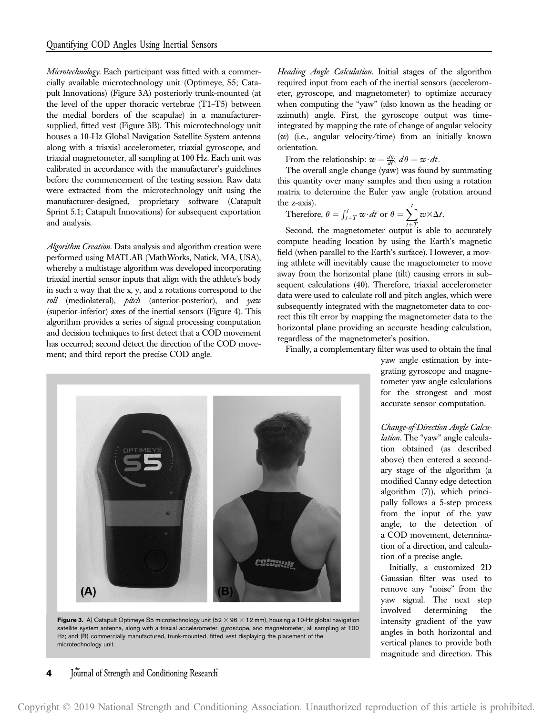Microtechnology. Each participant was fitted with a commercially available microtechnology unit (Optimeye, S5; Catapult Innovations) (Figure 3A) posteriorly trunk-mounted (at the level of the upper thoracic vertebrae (T1–T5) between the medial borders of the scapulae) in a manufacturersupplied, fitted vest (Figure 3B). This microtechnology unit houses a 10-Hz Global Navigation Satellite System antenna along with a triaxial accelerometer, triaxial gyroscope, and triaxial magnetometer, all sampling at 100 Hz. Each unit was calibrated in accordance with the manufacturer's guidelines before the commencement of the testing session. Raw data were extracted from the microtechnology unit using the manufacturer-designed, proprietary software (Catapult Sprint 5.1; Catapult Innovations) for subsequent exportation and analysis.

Algorithm Creation. Data analysis and algorithm creation were performed using MATLAB (MathWorks, Natick, MA, USA), whereby a multistage algorithm was developed incorporating triaxial inertial sensor inputs that align with the athlete's body in such a way that the x, y, and z rotations correspond to the roll (mediolateral), pitch (anterior-posterior), and yaw (superior-inferior) axes of the inertial sensors (Figure 4). This algorithm provides a series of signal processing computation and decision techniques to first detect that a COD movement has occurred; second detect the direction of the COD movement; and third report the precise COD angle.

Heading Angle Calculation. Initial stages of the algorithm required input from each of the inertial sensors (accelerometer, gyroscope, and magnetometer) to optimize accuracy when computing the "yaw" (also known as the heading or azimuth) angle. First, the gyroscope output was timeintegrated by mapping the rate of change of angular velocity (w) (i.e., angular velocity/time) from an initially known orientation.

From the relationship:  $w = \frac{d\theta}{dt}$ ;  $d\theta = w \, dt$ .

The overall angle change (yaw) was found by summating this quantity over many samples and then using a rotation matrix to determine the Euler yaw angle (rotation around the z-axis).

Therefore, 
$$
\theta = \int_{t+T}^{t} w \cdot dt
$$
 or  $\theta = \sum_{t+T}^{t} w \times \Delta t$ .

Second, the magnetometer output is able to accurately compute heading location by using the Earth's magnetic field (when parallel to the Earth's surface). However, a moving athlete will inevitably cause the magnetometer to move away from the horizontal plane (tilt) causing errors in subsequent calculations (40). Therefore, triaxial accelerometer data were used to calculate roll and pitch angles, which were subsequently integrated with the magnetometer data to correct this tilt error by mapping the magnetometer data to the horizontal plane providing an accurate heading calculation, regardless of the magnetometer's position.

Finally, a complementary filter was used to obtain the final



Figure 3. A) Catapult Optimeye S5 microtechnology unit (52  $\times$  96  $\times$  12 mm), housing a 10-Hz global navigation satellite system antenna, along with a triaxial accelerometer, gyroscope, and magnetometer, all sampling at 100 Hz; and (B) commercially manufactured, trunk-mounted, fitted vest displaying the placement of the microtechnology unit.

4 Journal of Strength and Conditioning Research

yaw angle estimation by integrating gyroscope and magnetometer yaw angle calculations for the strongest and most accurate sensor computation.

Change-of-Direction Angle Calculation. The "yaw" angle calculation obtained (as described above) then entered a secondary stage of the algorithm (a modified Canny edge detection algorithm (7)), which principally follows a 5-step process from the input of the yaw angle, to the detection of a COD movement, determination of a direction, and calculation of a precise angle.

Initially, a customized 2D Gaussian filter was used to remove any "noise" from the yaw signal. The next step involved determining the intensity gradient of the yaw angles in both horizontal and vertical planes to provide both magnitude and direction. This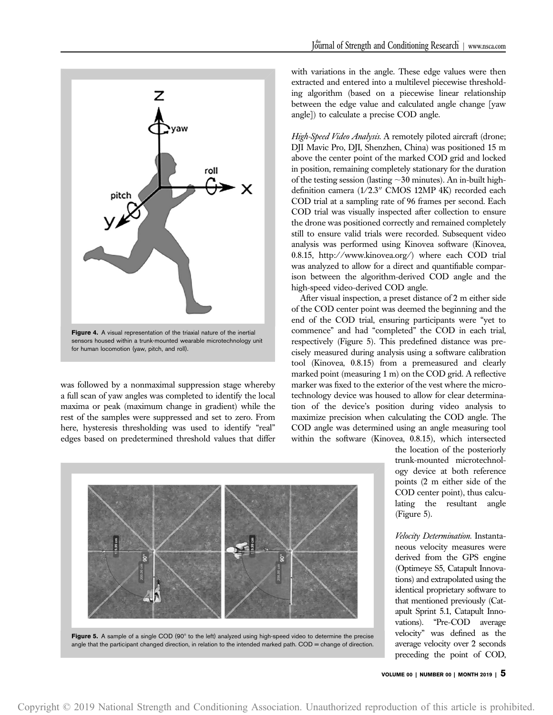

was followed by a nonmaximal suppression stage whereby a full scan of yaw angles was completed to identify the local maxima or peak (maximum change in gradient) while the rest of the samples were suppressed and set to zero. From here, hysteresis thresholding was used to identify "real" edges based on predetermined threshold values that differ with variations in the angle. These edge values were then extracted and entered into a multilevel piecewise thresholding algorithm (based on a piecewise linear relationship between the edge value and calculated angle change [yaw angle]) to calculate a precise COD angle.

High-Speed Video Analysis. A remotely piloted aircraft (drone; DJI Mavic Pro, DJI, Shenzhen, China) was positioned 15 m above the center point of the marked COD grid and locked in position, remaining completely stationary for the duration of the testing session (lasting  $\sim$  30 minutes). An in-built highdefinition camera  $(1/2.3$ " CMOS 12MP 4K) recorded each COD trial at a sampling rate of 96 frames per second. Each COD trial was visually inspected after collection to ensure the drone was positioned correctly and remained completely still to ensure valid trials were recorded. Subsequent video analysis was performed using Kinovea software (Kinovea, 0.8.15, [http://www.kinovea.org/\)](http://www.kinovea.org/) where each COD trial was analyzed to allow for a direct and quantifiable comparison between the algorithm-derived COD angle and the high-speed video-derived COD angle.

After visual inspection, a preset distance of 2 m either side of the COD center point was deemed the beginning and the end of the COD trial, ensuring participants were "yet to commence" and had "completed" the COD in each trial, respectively (Figure 5). This predefined distance was precisely measured during analysis using a software calibration tool (Kinovea, 0.8.15) from a premeasured and clearly marked point (measuring 1 m) on the COD grid. A reflective marker was fixed to the exterior of the vest where the microtechnology device was housed to allow for clear determination of the device's position during video analysis to maximize precision when calculating the COD angle. The COD angle was determined using an angle measuring tool within the software (Kinovea, 0.8.15), which intersected

Figure 5. A sample of a single COD (90° to the left) analyzed using high-speed video to determine the precise

angle that the participant changed direction, in relation to the intended marked path. COD = change of direction.

the location of the posteriorly trunk-mounted microtechnology device at both reference points (2 m either side of the COD center point), thus calculating the resultant angle (Figure 5).

Velocity Determination. Instantaneous velocity measures were derived from the GPS engine (Optimeye S5, Catapult Innovations) and extrapolated using the identical proprietary software to that mentioned previously (Catapult Sprint 5.1, Catapult Innovations). "Pre-COD average velocity" was defined as the average velocity over 2 seconds preceding the point of COD,

VOLUME 00 | NUMBER 00 | MONTH 2019 |  $5$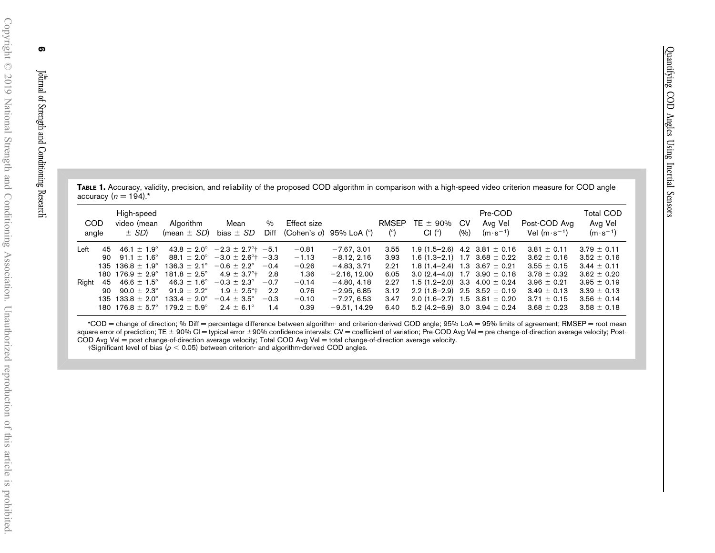|                          |  |  |  | TABLE 1. Accuracy, validity, precision, and reliability of the proposed COD algorithm in comparison with a high-speed video criterion measure for COD angle |  |  |  |  |
|--------------------------|--|--|--|-------------------------------------------------------------------------------------------------------------------------------------------------------------|--|--|--|--|
| accuracy $(n = 194)^{*}$ |  |  |  |                                                                                                                                                             |  |  |  |  |

| <b>COD</b><br>angle                          | High-speed<br>video (mean<br>$\pm$ SD)                                                                                                                                                          | Algorithm<br>(mean $\pm$ SD)                                                                                                                                 | Mean<br>bias $\pm$ SD                                                                                                                                                                                                                                                                       | %<br>Diff                         | Effect size                                                                 | (Cohen's $d$ ) 95% LoA $(°)$                                                                                                         | <b>RMSEP</b><br>$^{\circ}$                                   | TE $\pm$ 90%<br>Cl (°)                                                                                                                                                                                                                                                                                             | – CV<br>(9/0) | Pre-COD<br>Avg Vel<br>$(m \cdot s^{-1})$ | Post-COD Avg<br>Vel $(m \cdot s^{-1})$                                                                                                               | <b>Total COD</b><br>Avg Vel<br>$(m \cdot s^{-1})$                                                                                                    |
|----------------------------------------------|-------------------------------------------------------------------------------------------------------------------------------------------------------------------------------------------------|--------------------------------------------------------------------------------------------------------------------------------------------------------------|---------------------------------------------------------------------------------------------------------------------------------------------------------------------------------------------------------------------------------------------------------------------------------------------|-----------------------------------|-----------------------------------------------------------------------------|--------------------------------------------------------------------------------------------------------------------------------------|--------------------------------------------------------------|--------------------------------------------------------------------------------------------------------------------------------------------------------------------------------------------------------------------------------------------------------------------------------------------------------------------|---------------|------------------------------------------|------------------------------------------------------------------------------------------------------------------------------------------------------|------------------------------------------------------------------------------------------------------------------------------------------------------|
| Left<br>45<br>90<br>135<br>Right<br>45<br>90 | 46.1 $\pm$ 1.9 $^{\circ}$<br>91.1 $\pm$ 1.6°<br>$136.8 \pm 1.9^{\circ}$<br>180 176.9 $\pm$ 2.9°<br>46.6 $\pm$ 1.5 $^{\circ}$<br>90.0 $\pm$ 2.3°<br>135 133.8 $\pm$ 2.0°<br>180 176.8 $\pm$ 5.7° | $136.3 \pm 2.1^{\circ}$<br>$181.8 \pm 2.5^{\circ}$<br>$46.3 \pm 1.6^{\circ}$<br>$91.9 \pm 2.2^{\circ}$<br>$133.4 \pm 2.0^{\circ}$<br>$179.2 \pm 5.9^{\circ}$ | $43.8 \pm 2.0^{\circ}$ -2.3 $\pm$ 2.7 <sup>o</sup> + -5.1<br>$88.1 \pm 2.0^{\circ}$ -3.0 $\pm$ 2.6 <sup>o</sup> + -3.3<br>$-0.6 \pm 2.2^{\circ}$<br>$4.9 \pm 3.7^{\circ}$ $2.8$<br>$-0.3 \pm 2.3^{\circ}$<br>$1.9 \pm 2.5^{\circ}$ $2.2$<br>$-0.4 \pm 3.5^{\circ}$<br>$2.4 \pm 6.1^{\circ}$ | $-0.4$<br>$-0.7$<br>$-0.3$<br>1.4 | $-0.81$<br>$-1.13$<br>$-0.26$<br>1.36<br>$-0.14$<br>0.76<br>$-0.10$<br>0.39 | $-7.67.3.01$<br>$-8.12, 2.16$<br>$-4.83, 3.71$<br>$-2.16, 12.00$<br>$-4.80, 4.18$<br>$-2.95, 6.85$<br>$-7.27.6.53$<br>$-9.51, 14.29$ | 3.55<br>3.93<br>2.21<br>6.05<br>2.27<br>3.12<br>3.47<br>6.40 | 1.9 $(1.5-2.6)$ 4.2 3.81 $\pm$ 0.16<br>1.6 $(1.3-2.1)$ 1.7 3.68 $\pm$ 0.22<br>1.8 $(1.4-2.4)$ 1.3 3.67 $\pm$ 0.21<br>3.0 $(2.4-4.0)$ 1.7 3.90 $\pm$ 0.18<br>1.5 $(1.2-2.0)$ 3.3 4.00 $\pm$ 0.24<br>2.2 $(1.8-2.9)$ 2.5 3.52 $\pm$ 0.19<br>2.0 $(1.6-2.7)$ 1.5 3.81 $\pm$ 0.20<br>5.2 (4.2-6.9) 3.0 3.94 $\pm$ 0.24 |               |                                          | $3.81 \pm 0.11$<br>$3.62 \pm 0.16$<br>$3.55 \pm 0.15$<br>$3.78 \pm 0.32$<br>$3.96 \pm 0.21$<br>$3.49 \pm 0.13$<br>$3.71 \pm 0.15$<br>$3.68 \pm 0.23$ | $3.79 \pm 0.11$<br>$3.52 \pm 0.16$<br>$3.44 \pm 0.11$<br>$3.62 \pm 0.20$<br>$3.95 \pm 0.19$<br>$3.39 \pm 0.13$<br>$3.56 \pm 0.14$<br>$3.58 \pm 0.18$ |

\*COD <sup>=</sup> change of direction; % Diff <sup>=</sup> percentage difference between algorithm- and criterion-derived COD angle; 95% LoA <sup>=</sup> 95% limits of agreement; RMSEP <sup>=</sup> root mean square error of prediction; TE ± 90% Cl = typical error ±90% confidence intervals; CV = coefficient of variation; Pre-COD Avg Vel = pre change-of-direction average velocity; Post-COD Avg Vel <sup>=</sup> pos<sup>t</sup> change-of-direction average velocity; Total COD Avg Vel <sup>=</sup> total change-of-direction average velocity.

 $\dagger$ Significant level of bias ( $p < 0.05$ ) between criterion- and algorithm-derived COD angles.

the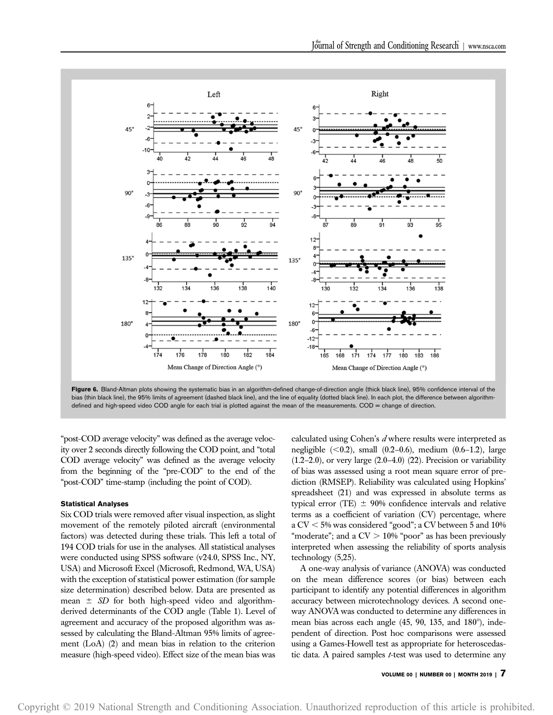



"post-COD average velocity" was defined as the average velocity over 2 seconds directly following the COD point, and "total COD average velocity" was defined as the average velocity from the beginning of the "pre-COD" to the end of the "post-COD" time-stamp (including the point of COD).

## Statistical Analyses

Six COD trials were removed after visual inspection, as slight movement of the remotely piloted aircraft (environmental factors) was detected during these trials. This left a total of 194 COD trials for use in the analyses. All statistical analyses were conducted using SPSS software (v24.0, SPSS Inc., NY, USA) and Microsoft Excel (Microsoft, Redmond, WA, USA) with the exception of statistical power estimation (for sample size determination) described below. Data are presented as mean  $\pm$  SD for both high-speed video and algorithmderived determinants of the COD angle (Table 1). Level of agreement and accuracy of the proposed algorithm was assessed by calculating the Bland-Altman 95% limits of agreement (LoA) (2) and mean bias in relation to the criterion measure (high-speed video). Effect size of the mean bias was calculated using Cohen's  $d$  where results were interpreted as negligible  $(<0.2$ ), small  $(0.2-0.6)$ , medium  $(0.6-1.2)$ , large  $(1.2-2.0)$ , or very large  $(2.0-4.0)$   $(22)$ . Precision or variability of bias was assessed using a root mean square error of prediction (RMSEP). Reliability was calculated using Hopkins' spreadsheet (21) and was expressed in absolute terms as typical error (TE)  $\pm$  90% confidence intervals and relative terms as a coefficient of variation (CV) percentage, where a  $CV < 5\%$  was considered "good"; a CV between 5 and 10% "moderate"; and a  $CV > 10\%$  "poor" as has been previously interpreted when assessing the reliability of sports analysis technology (5,25).

A one-way analysis of variance (ANOVA) was conducted on the mean difference scores (or bias) between each participant to identify any potential differences in algorithm accuracy between microtechnology devices. A second oneway ANOVA was conducted to determine any differences in mean bias across each angle  $(45, 90, 135,$  and  $180^{\circ})$ , independent of direction. Post hoc comparisons were assessed using a Games-Howell test as appropriate for heteroscedastic data. A paired samples  $t$ -test was used to determine any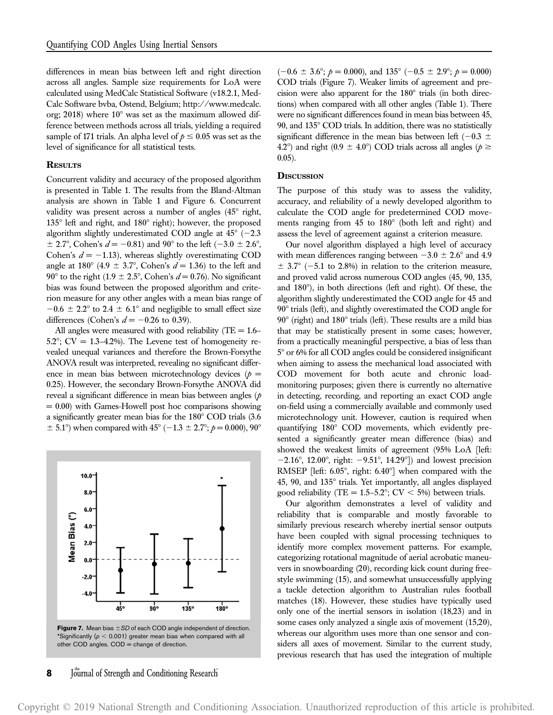differences in mean bias between left and right direction across all angles. Sample size requirements for LoA were calculated using MedCalc Statistical Software (v18.2.1, Med-Calc Software bvba, Ostend, Belgium; [http://www.medcalc.](http://www.medcalc.org/) [org;](http://www.medcalc.org/) 2018) where  $10^{\circ}$  was set as the maximum allowed difference between methods across all trials, yielding a required sample of 171 trials. An alpha level of  $p \le 0.05$  was set as the level of significance for all statistical tests.

## **RESULTS**

Concurrent validity and accuracy of the proposed algorithm is presented in Table 1. The results from the Bland-Altman analysis are shown in Table 1 and Figure 6. Concurrent validity was present across a number of angles  $(45^{\circ}$  right,  $135^{\circ}$  left and right, and  $180^{\circ}$  right); however, the proposed algorithm slightly underestimated COD angle at  $45^{\circ}$  (-2.3)  $\pm$  2.7°, Cohen's  $d = -0.81$ ) and 90° to the left (-3.0  $\pm$  2.6°, Cohen's  $d = -1.13$ ), whereas slightly overestimating COD angle at 180° (4.9  $\pm$  3.7°, Cohen's  $d = 1.36$ ) to the left and 90° to the right (1.9  $\pm$  2.5°, Cohen's  $d = 0.76$ ). No significant bias was found between the proposed algorithm and criterion measure for any other angles with a mean bias range of  $-0.6 \pm 2.2^{\circ}$  to 2.4  $\pm$  6.1° and negligible to small effect size differences (Cohen's  $d = -0.26$  to 0.39).

All angles were measured with good reliability (TE  $= 1.6-$ 5.2°; CV = 1.3-4.2%). The Levene test of homogeneity revealed unequal variances and therefore the Brown-Forsythe ANOVA result was interpreted, revealing no significant difference in mean bias between microtechnology devices ( $p =$ 0.25). However, the secondary Brown-Forsythe ANOVA did reveal a significant difference in mean bias between angles  $(p)$  $= 0.00$ ) with Games-Howell post hoc comparisons showing a significantly greater mean bias for the  $180^\circ$  COD trials  $(3.6$  $\pm$  5.1°) when compared with 45° (-1.3  $\pm$  2.7°;  $p = 0.000$ ), 90°





 $(-0.6 \pm 3.6^{\circ}; \, p = 0.000)$ , and  $135^{\circ}$   $(-0.5 \pm 2.9^{\circ}; \, p = 0.000)$ COD trials (Figure 7). Weaker limits of agreement and precision were also apparent for the  $180^\circ$  trials (in both directions) when compared with all other angles (Table 1). There were no significant differences found in mean bias between 45, 90, and  $135^{\circ}$  COD trials. In addition, there was no statistically significant difference in the mean bias between left ( $-0.3 \pm$ 4.2°) and right (0.9  $\pm$  4.0°) COD trials across all angles ( $p \ge$ 0.05).

#### **DISCUSSION**

The purpose of this study was to assess the validity, accuracy, and reliability of a newly developed algorithm to calculate the COD angle for predetermined COD movements ranging from  $45$  to  $180^\circ$  (both left and right) and assess the level of agreement against a criterion measure.

Our novel algorithm displayed a high level of accuracy with mean differences ranging between  $-3.0 \pm 2.6^{\circ}$  and 4.9  $\pm$  3.7° (-5.1 to 2.8%) in relation to the criterion measure, and proved valid across numerous COD angles (45, 90, 135, and  $180^\circ$ ), in both directions (left and right). Of these, the algorithm slightly underestimated the COD angle for 45 and  $90^\circ$  trials (left), and slightly overestimated the COD angle for  $90^\circ$  (right) and  $180^\circ$  trials (left). These results are a mild bias that may be statistically present in some cases; however, from a practically meaningful perspective, a bias of less than 5° or 6% for all COD angles could be considered insignificant when aiming to assess the mechanical load associated with COD movement for both acute and chronic loadmonitoring purposes; given there is currently no alternative in detecting, recording, and reporting an exact COD angle on-field using a commercially available and commonly used microtechnology unit. However, caution is required when quantifying 180° COD movements, which evidently presented a significantly greater mean difference (bias) and showed the weakest limits of agreement (95% LoA [left:  $-2.16^{\circ}$ , 12.00°, right:  $-9.51^{\circ}$ , 14.29°]) and lowest precision RMSEP [left:  $6.05^{\circ}$ , right:  $6.40^{\circ}$ ] when compared with the 45, 90, and  $135^\circ$  trials. Yet importantly, all angles displayed good reliability (TE =  $1.5-5.2^{\circ}$ ; CV < 5%) between trials.

Our algorithm demonstrates a level of validity and reliability that is comparable and mostly favorable to similarly previous research whereby inertial sensor outputs have been coupled with signal processing techniques to identify more complex movement patterns. For example, categorizing rotational magnitude of aerial acrobatic maneuvers in snowboarding (20), recording kick count during freestyle swimming (15), and somewhat unsuccessfully applying a tackle detection algorithm to Australian rules football matches (18). However, these studies have typically used only one of the inertial sensors in isolation (18,23) and in some cases only analyzed a single axis of movement (15,20), whereas our algorithm uses more than one sensor and considers all axes of movement. Similar to the current study, previous research that has used the integration of multiple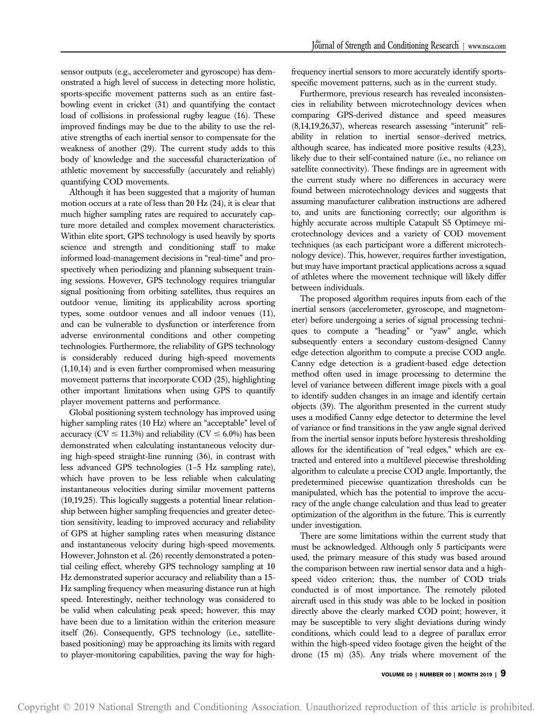sensor outputs (e.g., accelerometer and gyroscope) has demonstrated a high level of success in detecting more holistic, sports-specific movement patterns such as an entire fastbowling event in cricket (31) and quantifying the contact load of collisions in professional rugby league (16). These improved findings may be due to the ability to use the relative strengths of each inertial sensor to compensate for the weakness of another (29). The current study adds to this body of knowledge and the successful characterization of athletic movement by successfully (accurately and reliably) quantifying COD movements.

Although it has been suggested that a majority of human motion occurs at a rate of less than 20 Hz (24), it is clear that much higher sampling rates are required to accurately capture more detailed and complex movement characteristics. Within elite sport, GPS technology is used heavily by sports science and strength and conditioning staff to make informed load-management decisions in "real-time" and prospectively when periodizing and planning subsequent training sessions. However, GPS technology requires triangular signal positioning from orbiting satellites, thus requires an outdoor venue, limiting its applicability across sporting types, some outdoor venues and all indoor venues (11), and can be vulnerable to dysfunction or interference from adverse environmental conditions and other competing technologies. Furthermore, the reliability of GPS technology is considerably reduced during high-speed movements (1,10,14) and is even further compromised when measuring movement patterns that incorporate COD (25), highlighting other important limitations when using GPS to quantify player movement patterns and performance.

Global positioning system technology has improved using higher sampling rates (10 Hz) where an "acceptable" level of accuracy ( $CV \le 11.3\%$ ) and reliability ( $CV \le 6.0\%$ ) has been demonstrated when calculating instantaneous velocity during high-speed straight-line running (36), in contrast with less advanced GPS technologies (1–5 Hz sampling rate), which have proven to be less reliable when calculating instantaneous velocities during similar movement patterns (10,19,25). This logically suggests a potential linear relationship between higher sampling frequencies and greater detection sensitivity, leading to improved accuracy and reliability of GPS at higher sampling rates when measuring distance and instantaneous velocity during high-speed movements. However, Johnston et al. (26) recently demonstrated a potential ceiling effect, whereby GPS technology sampling at 10 Hz demonstrated superior accuracy and reliability than a 15- Hz sampling frequency when measuring distance run at high speed. Interestingly, neither technology was considered to be valid when calculating peak speed; however, this may have been due to a limitation within the criterion measure itself (26). Consequently, GPS technology (i.e., satellitebased positioning) may be approaching its limits with regard to player-monitoring capabilities, paving the way for highfrequency inertial sensors to more accurately identify sportsspecific movement patterns, such as in the current study.

Furthermore, previous research has revealed inconsistencies in reliability between microtechnology devices when comparing GPS-derived distance and speed measures (8,14,19,26,37), whereas research assessing "interunit" reliability in relation to inertial sensor–derived metrics, although scarce, has indicated more positive results (4,23), likely due to their self-contained nature (i.e., no reliance on satellite connectivity). These findings are in agreement with the current study where no differences in accuracy were found between microtechnology devices and suggests that assuming manufacturer calibration instructions are adhered to, and units are functioning correctly; our algorithm is highly accurate across multiple Catapult S5 Optimeye microtechnology devices and a variety of COD movement techniques (as each participant wore a different microtechnology device). This, however, requires further investigation, but may have important practical applications across a squad of athletes where the movement technique will likely differ between individuals.

The proposed algorithm requires inputs from each of the inertial sensors (accelerometer, gyroscope, and magnetometer) before undergoing a series of signal processing techniques to compute a "heading" or "yaw" angle, which subsequently enters a secondary custom-designed Canny edge detection algorithm to compute a precise COD angle. Canny edge detection is a gradient-based edge detection method often used in image processing to determine the level of variance between different image pixels with a goal to identify sudden changes in an image and identify certain objects (39). The algorithm presented in the current study uses a modified Canny edge detector to determine the level of variance or find transitions in the yaw angle signal derived from the inertial sensor inputs before hysteresis thresholding allows for the identification of "real edges," which are extracted and entered into a multilevel piecewise thresholding algorithm to calculate a precise COD angle. Importantly, the predetermined piecewise quantization thresholds can be manipulated, which has the potential to improve the accuracy of the angle change calculation and thus lead to greater optimization of the algorithm in the future. This is currently under investigation.

There are some limitations within the current study that must be acknowledged. Although only 5 participants were used, the primary measure of this study was based around the comparison between raw inertial sensor data and a highspeed video criterion; thus, the number of COD trials conducted is of most importance. The remotely piloted aircraft used in this study was able to be locked in position directly above the clearly marked COD point; however, it may be susceptible to very slight deviations during windy conditions, which could lead to a degree of parallax error within the high-speed video footage given the height of the drone (15 m) (35). Any trials where movement of the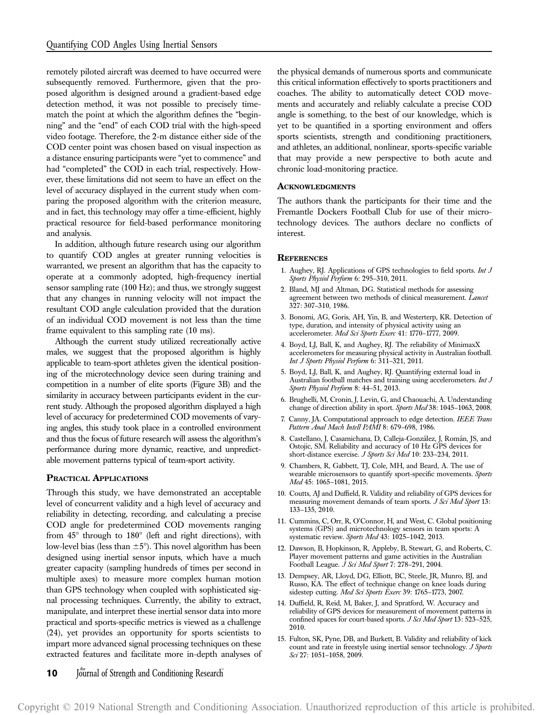remotely piloted aircraft was deemed to have occurred were subsequently removed. Furthermore, given that the proposed algorithm is designed around a gradient-based edge detection method, it was not possible to precisely timematch the point at which the algorithm defines the "beginning" and the "end" of each COD trial with the high-speed video footage. Therefore, the 2-m distance either side of the COD center point was chosen based on visual inspection as a distance ensuring participants were "yet to commence" and had "completed" the COD in each trial, respectively. However, these limitations did not seem to have an effect on the level of accuracy displayed in the current study when comparing the proposed algorithm with the criterion measure, and in fact, this technology may offer a time-efficient, highly practical resource for field-based performance monitoring and analysis.

In addition, although future research using our algorithm to quantify COD angles at greater running velocities is warranted, we present an algorithm that has the capacity to operate at a commonly adopted, high-frequency inertial sensor sampling rate (100 Hz); and thus, we strongly suggest that any changes in running velocity will not impact the resultant COD angle calculation provided that the duration of an individual COD movement is not less than the time frame equivalent to this sampling rate (10 ms).

Although the current study utilized recreationally active males, we suggest that the proposed algorithm is highly applicable to team-sport athletes given the identical positioning of the microtechnology device seen during training and competition in a number of elite sports (Figure 3B) and the similarity in accuracy between participants evident in the current study. Although the proposed algorithm displayed a high level of accuracy for predetermined COD movements of varying angles, this study took place in a controlled environment and thus the focus of future research will assess the algorithm's performance during more dynamic, reactive, and unpredictable movement patterns typical of team-sport activity.

# PRACTICAL APPLICATIONS

Through this study, we have demonstrated an acceptable level of concurrent validity and a high level of accuracy and reliability in detecting, recording, and calculating a precise COD angle for predetermined COD movements ranging from  $45^{\circ}$  through to  $180^{\circ}$  (left and right directions), with low-level bias (less than  $\pm 5^{\circ}$ ). This novel algorithm has been designed using inertial sensor inputs, which have a much greater capacity (sampling hundreds of times per second in multiple axes) to measure more complex human motion than GPS technology when coupled with sophisticated signal processing techniques. Currently, the ability to extract, manipulate, and interpret these inertial sensor data into more practical and sports-specific metrics is viewed as a challenge (24), yet provides an opportunity for sports scientists to impart more advanced signal processing techniques on these extracted features and facilitate more in-depth analyses of the physical demands of numerous sports and communicate this critical information effectively to sports practitioners and coaches. The ability to automatically detect COD movements and accurately and reliably calculate a precise COD angle is something, to the best of our knowledge, which is yet to be quantified in a sporting environment and offers sports scientists, strength and conditioning practitioners, and athletes, an additional, nonlinear, sports-specific variable that may provide a new perspective to both acute and chronic load-monitoring practice.

#### **ACKNOWLEDGMENTS**

The authors thank the participants for their time and the Fremantle Dockers Football Club for use of their microtechnology devices. The authors declare no conflicts of interest.

#### **REFERENCES**

- 1. Aughey, RJ. Applications of GPS technologies to field sports. Int J Sports Physiol Perform 6: 295–310, 2011.
- 2. Bland, MJ and Altman, DG. Statistical methods for assessing agreement between two methods of clinical measurement. Lancet 327: 307–310, 1986.
- 3. Bonomi, AG, Goris, AH, Yin, B, and Westerterp, KR. Detection of type, duration, and intensity of physical activity using an accelerometer. Med Sci Sports Exerc 41: 1770-1777, 2009.
- 4. Boyd, LJ, Ball, K, and Aughey, RJ. The reliability of MinimaxX accelerometers for measuring physical activity in Australian football. Int J Sports Physiol Perform 6: 311–321, 2011.
- 5. Boyd, LJ, Ball, K, and Aughey, RJ. Quantifying external load in Australian football matches and training using accelerometers. Int J Sports Physiol Perform 8: 44-51, 2013.
- 6. Brughelli, M, Cronin, J, Levin, G, and Chaouachi, A. Understanding change of direction ability in sport. Sports Med 38: 1045-1063, 2008.
- 7. Canny, JA. Computational approach to edge detection. IEEE Trans Pattern Anal Mach Intell PAMI 8: 679–698, 1986.
- 8. Castellano, J, Casamichana, D, Calleja-González, J, Román, JS, and Ostojic, SM. Reliability and accuracy of 10 Hz GPS devices for short-distance exercise. J Sports Sci Med 10: 233-234, 2011.
- 9. Chambers, R, Gabbett, TJ, Cole, MH, and Beard, A. The use of wearable microsensors to quantify sport-specific movements. Sports Med 45: 1065–1081, 2015.
- 10. Coutts, AJ and Duffield, R. Validity and reliability of GPS devices for measuring movement demands of team sports. J Sci Med Sport 13: 133–135, 2010.
- 11. Cummins, C, Orr, R, O'Connor, H, and West, C. Global positioning systems (GPS) and microtechnology sensors in team sports: A systematic review. Sports Med 43: 1025-1042, 2013.
- 12. Dawson, B, Hopkinson, R, Appleby, B, Stewart, G, and Roberts, C. Player movement patterns and game activities in the Australian Football League.  $\dot{J}$  Sci Med Sport 7: 278-291, 2004.
- 13. Dempsey, AR, Lloyd, DG, Elliott, BC, Steele, JR, Munro, BJ, and Russo, KA. The effect of technique change on knee loads during sidestep cutting. Med Sci Sports Exerc 39: 1765–1773, 2007.
- 14. Duffield, R, Reid, M, Baker, J, and Spratford, W. Accuracy and reliability of GPS devices for measurement of movement patterns in confined spaces for court-based sports. J Sci Med Sport 13: 523-525, 2010.
- 15. Fulton, SK, Pyne, DB, and Burkett, B. Validity and reliability of kick count and rate in freestyle using inertial sensor technology. J Sports Sci 27: 1051-1058, 2009.

# **10** Journal of Strength and Conditioning Research